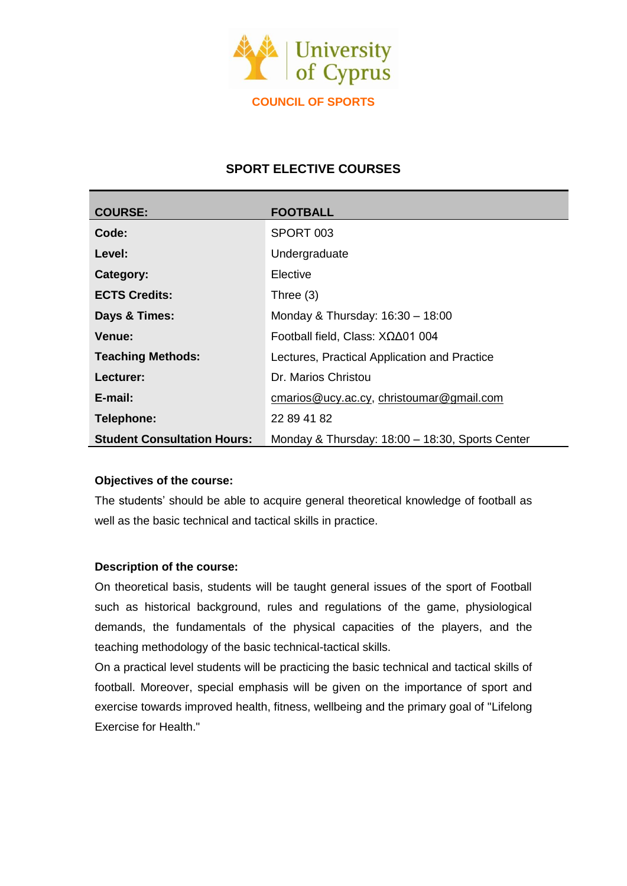

# **SPORT ELECTIVE COURSES**

| <b>COURSE:</b>                     | <b>FOOTBALL</b>                                 |
|------------------------------------|-------------------------------------------------|
| Code:                              | SPORT 003                                       |
| Level:                             | Undergraduate                                   |
| Category:                          | Elective                                        |
| <b>ECTS Credits:</b>               | Three $(3)$                                     |
| Days & Times:                      | Monday & Thursday: 16:30 - 18:00                |
| <b>Venue:</b>                      | Football field, Class: $X\Omega\Delta01004$     |
| <b>Teaching Methods:</b>           | Lectures, Practical Application and Practice    |
| Lecturer:                          | Dr. Marios Christou                             |
| E-mail:                            | cmarios@ucy.ac.cy, christoumar@gmail.com        |
| Telephone:                         | 22 89 41 82                                     |
| <b>Student Consultation Hours:</b> | Monday & Thursday: 18:00 - 18:30, Sports Center |

# **Objectives of the course:**

The students' should be able to acquire general theoretical knowledge of football as well as the basic technical and tactical skills in practice.

# **Description of the course:**

On theoretical basis, students will be taught general issues of the sport of Football such as historical background, rules and regulations of the game, physiological demands, the fundamentals of the physical capacities of the players, and the teaching methodology of the basic technical-tactical skills.

On a practical level students will be practicing the basic technical and tactical skills of football. Moreover, special emphasis will be given on the importance of sport and exercise towards improved health, fitness, wellbeing and the primary goal of "Lifelong Exercise for Health."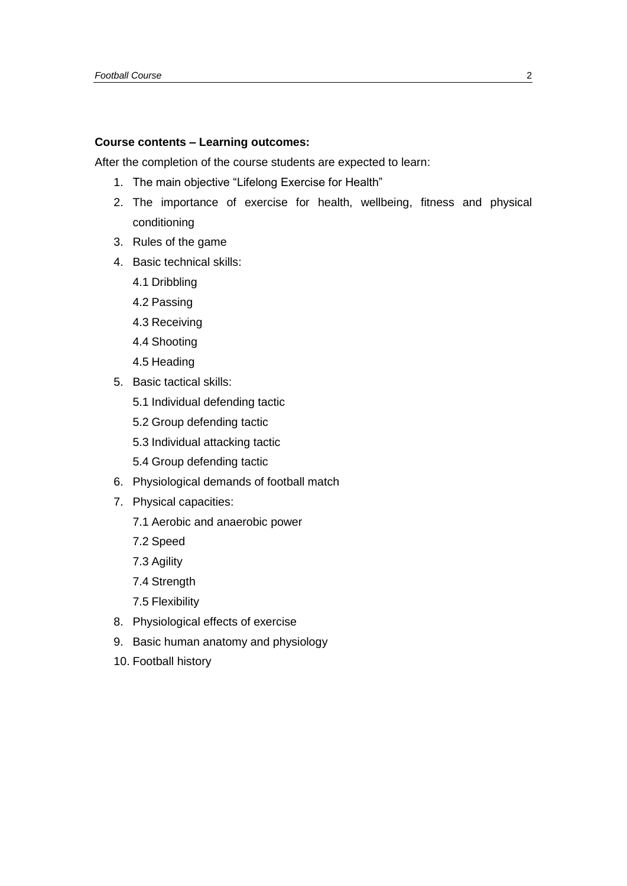### **Course contents – Learning outcomes:**

After the completion of the course students are expected to learn:

- 1. The main objective "Lifelong Exercise for Health"
- 2. The importance of exercise for health, wellbeing, fitness and physical conditioning
- 3. Rules of the game
- 4. Basic technical skills:
	- 4.1 Dribbling
	- 4.2 Passing
	- 4.3 Receiving
	- 4.4 Shooting
	- 4.5 Heading
- 5. Basic tactical skills:
	- 5.1 Individual defending tactic
	- 5.2 Group defending tactic
	- 5.3 Individual attacking tactic
	- 5.4 Group defending tactic
- 6. Physiological demands of football match
- 7. Physical capacities:
	- 7.1 Aerobic and anaerobic power
	- 7.2 Speed
	- 7.3 Agility
	- 7.4 Strength
	- 7.5 Flexibility
- 8. Physiological effects of exercise
- 9. Basic human anatomy and physiology
- 10. Football history